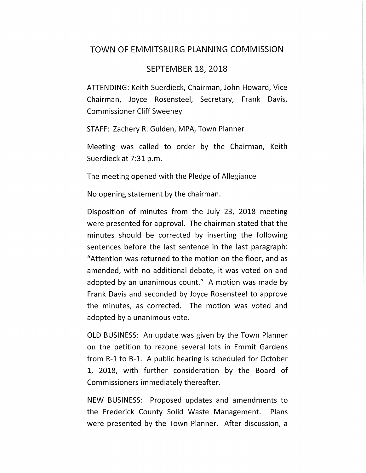## TOWN OF EMMITSBURG PLANNING COMMISSION

## SEPTEMBER 18, 2018

ATTENDING: Keith Suerdieck, Chairman, John Howard, Vice Chairman, Joyce Rosensteel, Secretary, Frank Davis, Commissioner Cliff Sweeney

STAFF: Zachery R. Gulden, MPA, Town Planner

Meeting was called to order by the Chairman, Keith Suerdieck at 7:31 p.m.

The meeting opened with the Pledge of Allegiance

No opening statement by the chairman.

Disposition of minutes from the July 23, 2018 meeting were presented for approval. The chairman stated that the minutes should be corrected by inserting the following sentences before the last sentence in the last paragraph: "Attention was returned to the motion on the floor, and as amended, with no additional debate, it was voted on and adopted by an unanimous [count.](https://count.11)" A motion was made by Frank Davis and seconded by Joyce Rosensteel to approve the minutes, as corrected. The motion was voted and adopted by a unanimous vote.

OLD BUSINESS: An update was given by the Town Planner on the petition to rezone several lots in Emmit Gardens from R-1 to B-1. A public hearing is scheduled for October 1, 2018, with further consideration by the Board of Commissioners immediately thereafter.

NEW BUSINESS: Proposed updates and amendments to the Frederick County Solid Waste Management. Plans were presented by the Town Planner. After discussion, a